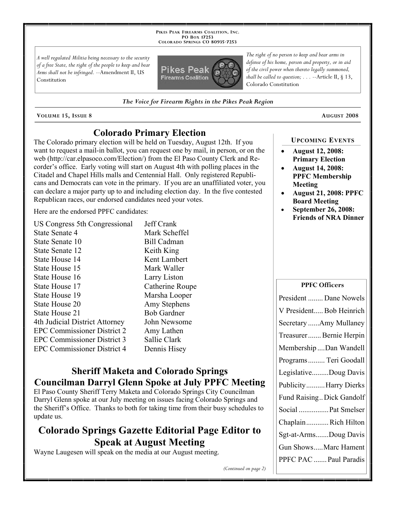**PIKES PEAK FIREARMS COALITION, INC. PO BOX 17253 COLORADO SPRINGS CO 80935 -7253**

*A well regulated Militia being necessary to the security of a free State, the right of the people to keep and bear Arms shall not be infringed.* --Amendment II, US Constitution



*The right of no person to keep and bear arms in defense of his home, person and property, or in aid of the civil power when thereto legally summoned, shall be called to question; . . .* --Article II, § 13, Colorado Constitution

*The Voice for Firearm Rights in the Pikes Peak Region*

**VOLUME 15, ISSUE 8 AUGUST 2008**

## **Colorado Primary Election**

The Colorado primary election will be held on Tuesday, August 12th. If you want to request a mail-in ballot, you can request one by mail, in person, or on the web (http://car.elpasoco.com/Election/) from the El Paso County Clerk and Recorder's office. Early voting will start on August 4th with polling places in the Citadel and Chapel Hills malls and Centennial Hall. Only registered Republicans and Democrats can vote in the primary. If you are an unaffiliated voter, you can declare a major party up to and including election day. In the five contested Republican races, our endorsed candidates need your votes.

Here are the endorsed PPFC candidates:

| US Congress 5th Congressional      | Jeff Crank         |
|------------------------------------|--------------------|
| <b>State Senate 4</b>              | Mark Scheffel      |
| State Senate 10                    | <b>Bill Cadman</b> |
| State Senate 12                    | Keith King         |
| State House 14                     | Kent Lambert       |
| State House 15                     | Mark Waller        |
| State House 16                     | Larry Liston       |
| State House 17                     | Catherine Roupe    |
| State House 19                     | Marsha Looper      |
| State House 20                     | Amy Stephens       |
| State House 21                     | <b>Bob Gardner</b> |
| 4th Judicial District Attorney     | John Newsome       |
| <b>EPC Commissioner District 2</b> | Amy Lathen         |
| <b>EPC Commissioner District 3</b> | Sallie Clark       |
| <b>EPC Commissioner District 4</b> | Dennis Hisey       |
|                                    |                    |

## **Sheriff Maketa and Colorado Springs Councilman Darryl Glenn Spoke at July PPFC Meeting**

El Paso County Sheriff Terry Maketa and Colorado Springs City Councilman Darryl Glenn spoke at our July meeting on issues facing Colorado Springs and the Sheriff's Office. Thanks to both for taking time from their busy schedules to update us.

# **Colorado Springs Gazette Editorial Page Editor to Speak at August Meeting**

Wayne Laugesen will speak on the media at our August meeting.

#### **UPCOMING EVENTS**

- **August 12, 2008: Primary Election**
- **August 14, 2008: PPFC Membership Meeting**
- **August 21, 2008: PPFC Board Meeting**
- **September 26, 2008: Friends of NRA Dinner**

**PPFC Officers**

| <b>TITU UILICEIS</b>      |  |
|---------------------------|--|
| President  Dane Nowels    |  |
| V President Bob Heinrich  |  |
| Secretary Amy Mullaney    |  |
| Treasurer Bernie Herpin   |  |
| Membership Dan Wandell    |  |
| Programs  Teri Goodall    |  |
| LegislativeDoug Davis     |  |
| Publicity Harry Dierks    |  |
| Fund Raising Dick Gandolf |  |
| Social  Pat Smelser       |  |
| ChaplainRich Hilton       |  |
| Sgt-at-ArmsDoug Davis     |  |
| Gun ShowsMarc Hament      |  |
| PPFC PAC  Paul Paradis    |  |
|                           |  |

*(Continued on page 2)*